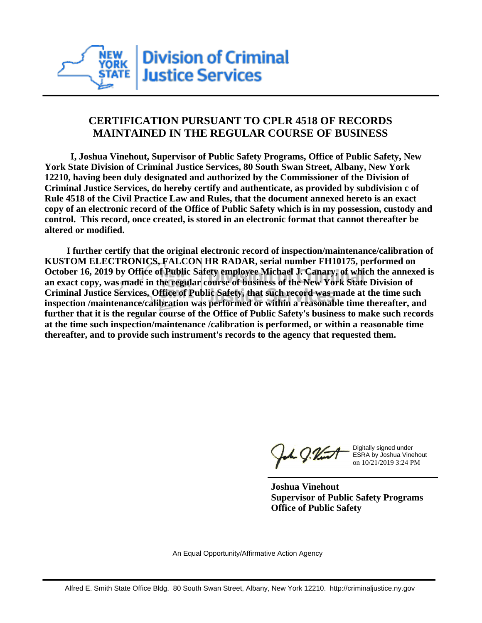

## **CERTIFICATION PURSUANT TO CPLR 4518 OF RECORDS MAINTAINED IN THE REGULAR COURSE OF BUSINESS**

 **I, Joshua Vinehout, Supervisor of Public Safety Programs, Office of Public Safety, New York State Division of Criminal Justice Services, 80 South Swan Street, Albany, New York 12210, having been duly designated and authorized by the Commissioner of the Division of Criminal Justice Services, do hereby certify and authenticate, as provided by subdivision c of Rule 4518 of the Civil Practice Law and Rules, that the document annexed hereto is an exact copy of an electronic record of the Office of Public Safety which is in my possession, custody and control. This record, once created, is stored in an electronic format that cannot thereafter be altered or modified.**

 **I further certify that the original electronic record of inspection/maintenance/calibration of KUSTOM ELECTRONICS, FALCON HR RADAR, serial number FH10175, performed on October 16, 2019 by Office of Public Safety employee Michael J. Canary, of which the annexed is an exact copy, was made in the regular course of business of the New York State Division of Criminal Justice Services, Office of Public Safety, that such record was made at the time such inspection /maintenance/calibration was performed or within a reasonable time thereafter, and further that it is the regular course of the Office of Public Safety's business to make such records at the time such inspection/maintenance /calibration is performed, or within a reasonable time thereafter, and to provide such instrument's records to the agency that requested them.**

the g. Vint

Digitally signed under ESRA by Joshua Vinehout on 10/21/2019 3:24 PM

**Joshua Vinehout Supervisor of Public Safety Programs Office of Public Safety**

An Equal Opportunity/Affirmative Action Agency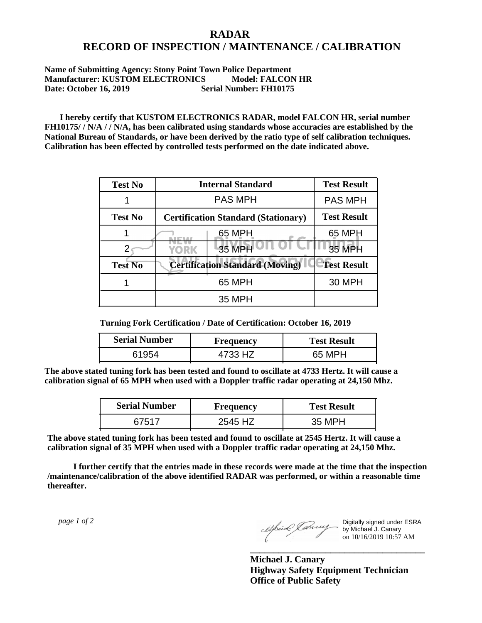## **RADAR RECORD OF INSPECTION / MAINTENANCE / CALIBRATION**

## **Name of Submitting Agency: Stony Point Town Police Department Manufacturer: KUSTOM ELECTRONICS Model: FALCON HR Date: October 16, 2019 Serial Number: FH10175**

 **I hereby certify that KUSTOM ELECTRONICS RADAR, model FALCON HR, serial number FH10175/ / N/A / / N/A, has been calibrated using standards whose accuracies are established by the National Bureau of Standards, or have been derived by the ratio type of self calibration techniques. Calibration has been effected by controlled tests performed on the date indicated above.**

| <b>Test No</b> | <b>Internal Standard</b>                   | <b>Test Result</b> |
|----------------|--------------------------------------------|--------------------|
|                | <b>PAS MPH</b>                             | <b>PAS MPH</b>     |
| <b>Test No</b> | <b>Certification Standard (Stationary)</b> | <b>Test Result</b> |
|                | 65 MPH                                     | 65 MPH             |
|                | 35 MPH<br><b>YORK</b>                      | <b>35 MPH</b>      |
| <b>Test No</b> | <b>Certification Standard (Moving)</b>     | <b>Test Result</b> |
|                | 65 MPH                                     | <b>30 MPH</b>      |
|                | 35 MPH                                     |                    |

**Turning Fork Certification / Date of Certification: October 16, 2019**

| <b>Serial Number</b> | <b>Frequency</b> | <b>Test Result</b> |
|----------------------|------------------|--------------------|
| ร195⊿                | 4733 H7          | 65 MPH             |

**The above stated tuning fork has been tested and found to oscillate at 4733 Hertz. It will cause a calibration signal of 65 MPH when used with a Doppler traffic radar operating at 24,150 Mhz.**

| <b>Serial Number</b> | Frequency | <b>Test Result</b> |
|----------------------|-----------|--------------------|
| 67517                | 2545 HZ   | 35 MPH             |

**The above stated tuning fork has been tested and found to oscillate at 2545 Hertz. It will cause a calibration signal of 35 MPH when used with a Doppler traffic radar operating at 24,150 Mhz.**

 **I further certify that the entries made in these records were made at the time that the inspection /maintenance/calibration of the above identified RADAR was performed, or within a reasonable time thereafter.**

 *page 1 of 2* 

Digitally signed under ESRA by Michael J. Canary on 10/16/2019 10:57 AM

**Michael J. Canary Highway Safety Equipment Technician Office of Public Safety**

**\_\_\_\_\_\_\_\_\_\_\_\_\_\_\_\_\_\_\_\_\_\_\_\_\_\_\_\_\_\_\_\_\_\_\_\_\_**